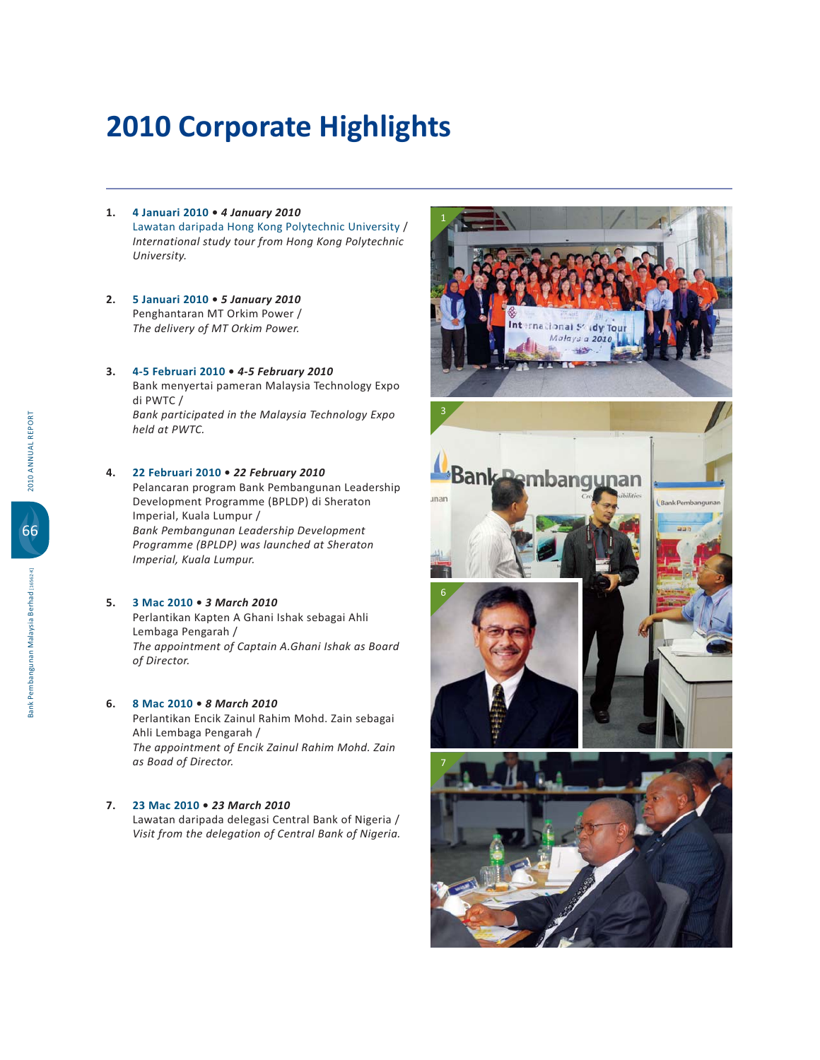- **1.** 4 Januari 2010 4 January 2010 Lawatan daripada Hong Kong Polytechnic University / International study tour from Hong Kong Polytechnic *University.*
- **2.** 5 Januari 2010 5 January 2010 Penghantaran MT Orkim Power /  *The delivery of MT Orkim Power.*

#### **3.** 4-5 Februari 2010 • 4-5 February 2010

 Bank menyertai pameran Malaysia Technology Expo di PWTC / *Bank participated in the Malaysia Technology Expo held at PWTC.*

### **4.** 22 Februari 2010 • 22 February 2010

 Pelancaran program Bank Pembangunan Leadership Development Programme (BPLDP) di Sheraton Imperial, Kuala Lumpur / *Bank Pembangunan Leadership Development Programme (BPLDP) was launched at Sheraton*  Imperial, Kuala Lumpur.

## **5.** 3 Mac 2010 • 3 March 2010

Perlantikan Kapten A Ghani Ishak sebagai Ahli Lembaga Pengarah / *The appointment of Captain A.Ghani Ishak as Board of Director.*

#### **6.** 8 Mac 2010 • 8 March 2010

Perlantikan Encik Zainul Rahim Mohd. Zain sebagai Ahli Lembaga Pengarah / *The appointment of Encik Zainul Rahim Mohd. Zain as Boad of Director.*

## **7.** 23 Mac 2010 • 23 March 2010

Lawatan daripada delegasi Central Bank of Nigeria / *Visit from the delegation of Central Bank of Nigeria.*

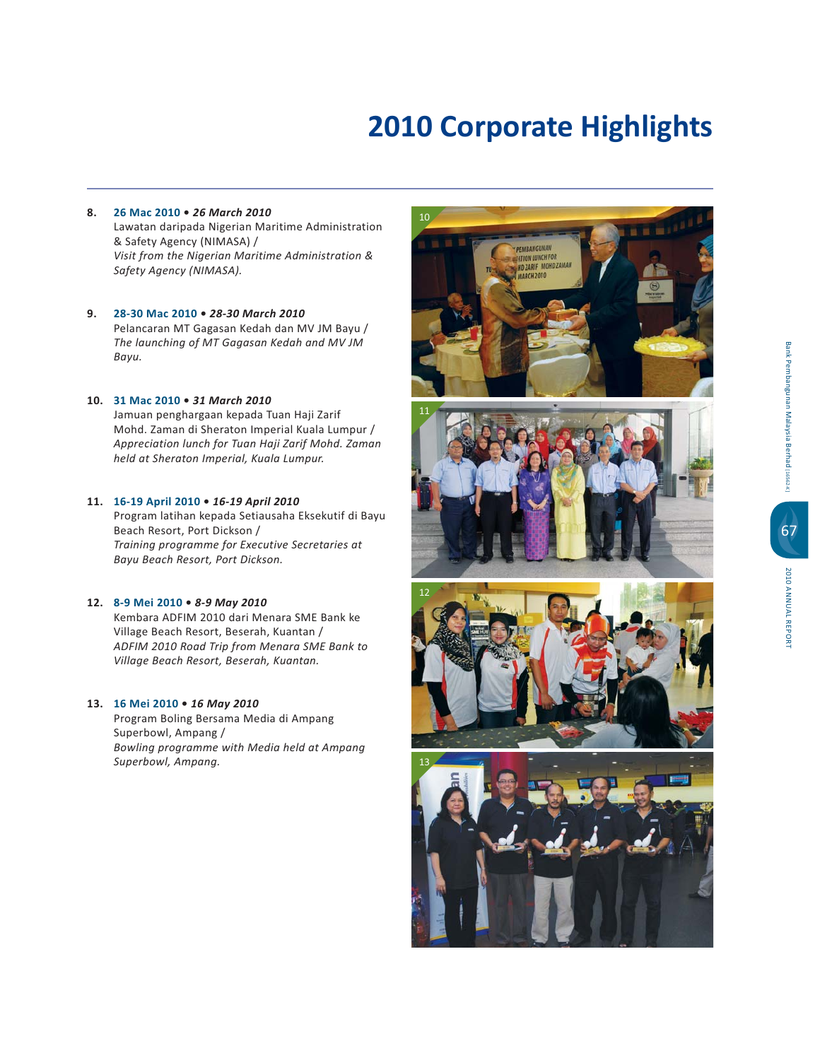- **" -! -***26 March 2010* Lawatan daripada Nigerian Maritime Administration & Safety Agency (NIMASA) / *Visit from the Nigerian Maritime Administration & Safety Agency (NIMASA).*
- **\$ -**8-30 Mac 2010 · 28-30 March 2010 Pelancaran MT Gagasan Kedah dan MV JM Bayu / The launching of MT Gagasan Kedah and MV JM *Bayu.*

## **10.** 31 Mac 2010 . 31 March 2010

Jamuan penghargaan kepada Tuan Haji Zarif Mohd. Zaman di Sheraton Imperial Kuala Lumpur / *Appreciation lunch for Tuan Haji Zarif Mohd. Zaman*  held at Sheraton Imperial, Kuala Lumpur.

#### 11. 16-19 April 2010 · 16-19 April 2010

Program latihan kepada Setiausaha Eksekutif di Bayu Beach Resort, Port Dickson / *Training programme for Executive Secretaries at Bayu Beach Resort, Port Dickson.*

## 12. 8-9 Mei 2010 • 8-9 May 2010

Kembara ADFIM 2010 dari Menara SME Bank ke Village Beach Resort, Beserah, Kuantan / *ADFIM 2010 Road Trip from Menara SME Bank to*  Village Beach Resort, Beserah, Kuantan.

#### 13. 16 Mei 2010 • 16 May 2010

 Program Boling Bersama Media di Ampang Superbowl, Ampang / *Bowling programme with Media held at Ampang Superbowl, Ampang.*

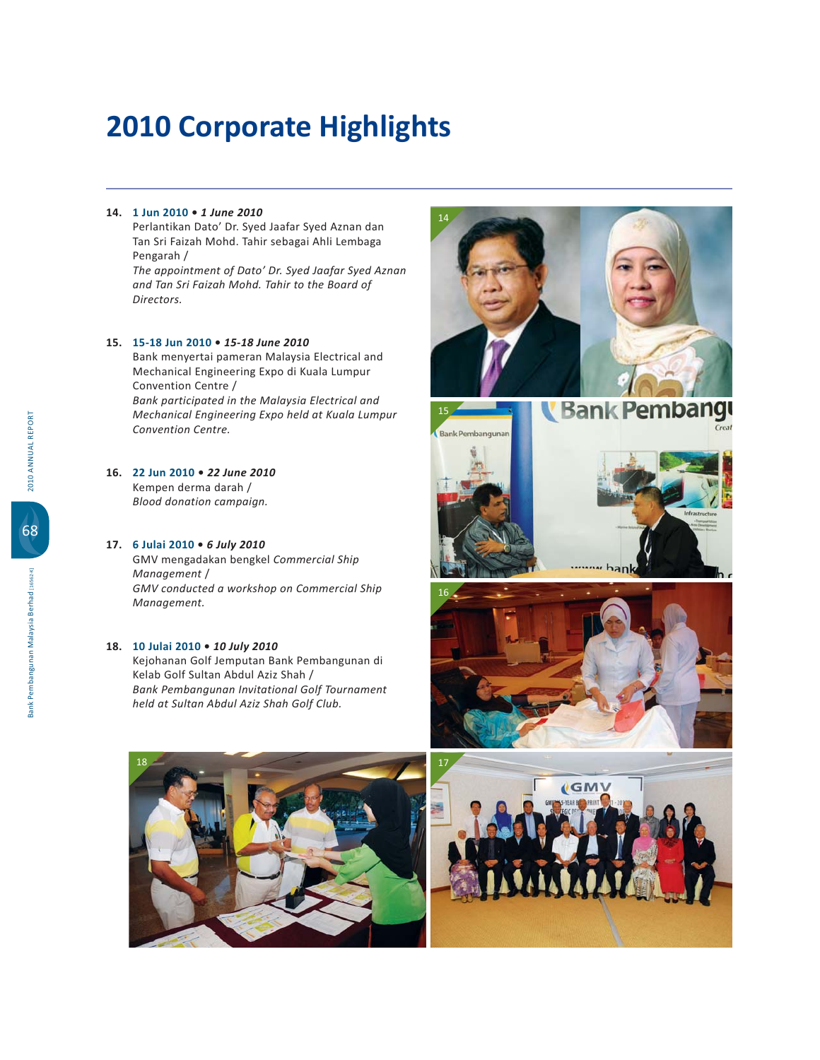# 14. 1 Jun 2010 • 1 June 2010

Perlantikan Dato' Dr. Syed Jaafar Syed Aznan dan Tan Sri Faizah Mohd. Tahir sebagai Ahli Lembaga Pengarah /

*The appointment of Dato' Dr. Syed Jaafar Syed Aznan and Tan Sri Faizah Mohd. Tahir to the Board of Directors.*

#### 15. 15-18 Jun 2010 • 15-18 June 2010

 Bank menyertai pameran Malaysia Electrical and Mechanical Engineering Expo di Kuala Lumpur Convention Centre /

*Bank participated in the Malaysia Electrical and*  **Mechanical Engineering Expo held at Kuala Lumpur** *Convention Centre.*

## **16.** 22 Jun 2010 • 22 June 2010

Kempen derma darah /  *Blood donation campaign.*

#### **# ! -***6 July 2010*

GMV mengadakan bengkel Commercial Ship *Management GMV conducted a workshop on Commercial Ship Management.*

#### 18. 10 Julai 2010 • 10 July 2010

Kejohanan Golf Jemputan Bank Pembangunan di Kelab Golf Sultan Abdul Aziz Shah / *Bank Pembangunan Invitational Golf Tournament held at Sultan Abdul Aziz Shah Golf Club.*











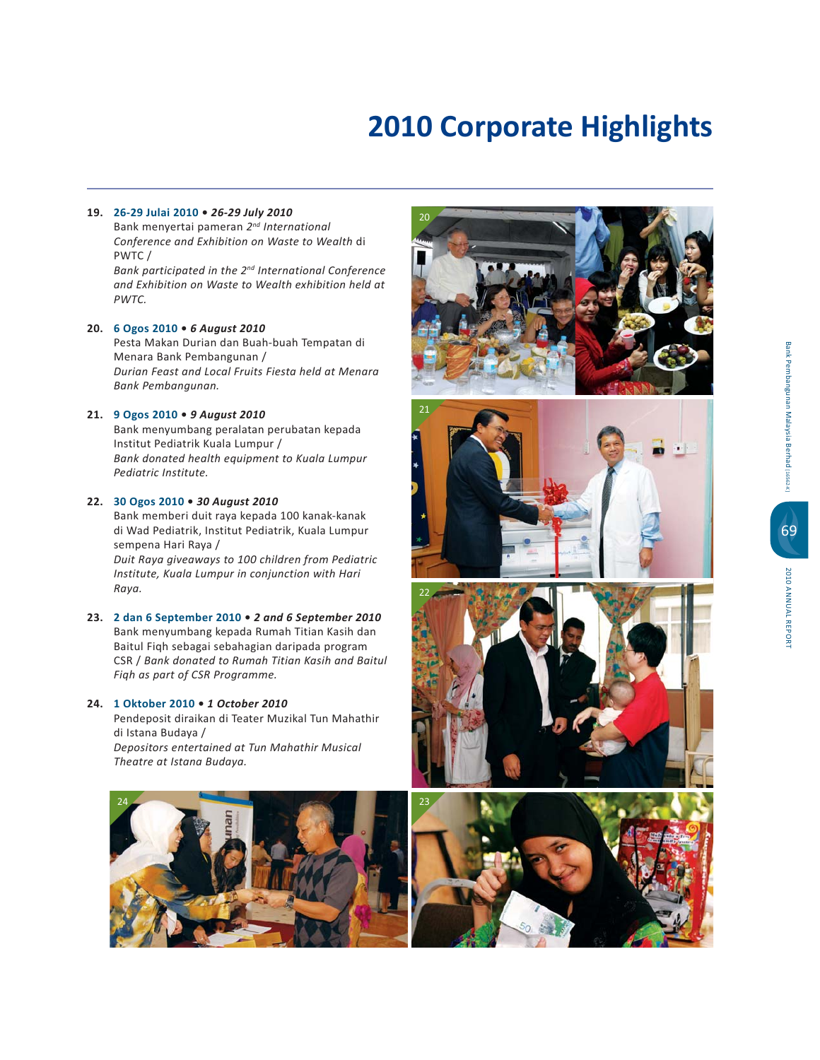# **\$ -!-\$ -***26-29 July 2010*

 Bank menyertai pameran *2nd International Conference and Exhibition on Waste to Wealth* di PWTC/ *Bank participated in the 2nd International Conference and Exhibition on Waste to Wealth exhibition held at PWTC.*

## 20. 6 Ogos 2010 · 6 August 2010

 Pesta Makan Durian dan Buah-buah Tempatan di Menara Bank Pembangunan / *Durian Feast and Local Fruits Fiesta held at Menara Bank Pembangunan.*

## 21. 9 Ogos 2010 . 9 August 2010

 Bank menyumbang peralatan perubatan kepada Institut Pediatrik Kuala Lumpur / Bank donated health equipment to Kuala Lumpur *Pediatric Institute.*

# 22. 30 Ogos 2010 . 30 August 2010

 Bank memberi duit raya kepada 100 kanak-kanak di Wad Pediatrik, Institut Pediatrik, Kuala Lumpur sempena Hari Raya /  *Duit Raya giveaways to 100 children from Pediatric*  Institute, Kuala Lumpur in conjunction with Hari *Raya.*

23. 2 dan 6 September 2010 . 2 and 6 September 2010 Bank menyumbang kepada Rumah Titian Kasih dan Baitul Fiqh sebagai sebahagian daripada program CSR / Bank donated to Rumah Titian Kasih and Baitul *Fiqh as part of CSR Programme.*

# 24. 1 Oktober 2010 . 1 October 2010

Pendeposit diraikan di Teater Muzikal Tun Mahathir di Istana Budaya / *Depositors entertained at Tun Mahathir Musical Theatre at Istana Budaya.*